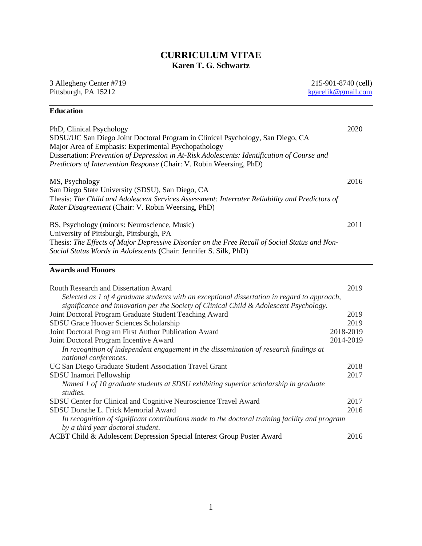# **CURRICULUM VITAE Karen T. G. Schwartz**

3 Allegheny Center #719 Pittsburgh, PA 15212

215-901-8740 (cell) [kgarelik@gmail.com](mailto:kgarelik@gmail.com)

| 2020<br>PhD, Clinical Psychology<br>SDSU/UC San Diego Joint Doctoral Program in Clinical Psychology, San Diego, CA<br>Major Area of Emphasis: Experimental Psychopathology<br>Dissertation: Prevention of Depression in At-Risk Adolescents: Identification of Course and<br>Predictors of Intervention Response (Chair: V. Robin Weersing, PhD)<br>2016<br>MS, Psychology<br>San Diego State University (SDSU), San Diego, CA<br>Thesis: The Child and Adolescent Services Assessment: Interrater Reliability and Predictors of<br>Rater Disagreement (Chair: V. Robin Weersing, PhD) |
|----------------------------------------------------------------------------------------------------------------------------------------------------------------------------------------------------------------------------------------------------------------------------------------------------------------------------------------------------------------------------------------------------------------------------------------------------------------------------------------------------------------------------------------------------------------------------------------|
|                                                                                                                                                                                                                                                                                                                                                                                                                                                                                                                                                                                        |
|                                                                                                                                                                                                                                                                                                                                                                                                                                                                                                                                                                                        |
|                                                                                                                                                                                                                                                                                                                                                                                                                                                                                                                                                                                        |
|                                                                                                                                                                                                                                                                                                                                                                                                                                                                                                                                                                                        |
|                                                                                                                                                                                                                                                                                                                                                                                                                                                                                                                                                                                        |
|                                                                                                                                                                                                                                                                                                                                                                                                                                                                                                                                                                                        |
|                                                                                                                                                                                                                                                                                                                                                                                                                                                                                                                                                                                        |
|                                                                                                                                                                                                                                                                                                                                                                                                                                                                                                                                                                                        |
|                                                                                                                                                                                                                                                                                                                                                                                                                                                                                                                                                                                        |
| BS, Psychology (minors: Neuroscience, Music)<br>2011                                                                                                                                                                                                                                                                                                                                                                                                                                                                                                                                   |
| University of Pittsburgh, Pittsburgh, PA                                                                                                                                                                                                                                                                                                                                                                                                                                                                                                                                               |
| Thesis: The Effects of Major Depressive Disorder on the Free Recall of Social Status and Non-                                                                                                                                                                                                                                                                                                                                                                                                                                                                                          |
| Social Status Words in Adolescents (Chair: Jennifer S. Silk, PhD)                                                                                                                                                                                                                                                                                                                                                                                                                                                                                                                      |
|                                                                                                                                                                                                                                                                                                                                                                                                                                                                                                                                                                                        |
| <b>Awards and Honors</b>                                                                                                                                                                                                                                                                                                                                                                                                                                                                                                                                                               |
|                                                                                                                                                                                                                                                                                                                                                                                                                                                                                                                                                                                        |
| 2019<br><b>Routh Research and Dissertation Award</b>                                                                                                                                                                                                                                                                                                                                                                                                                                                                                                                                   |
| Selected as 1 of 4 graduate students with an exceptional dissertation in regard to approach,                                                                                                                                                                                                                                                                                                                                                                                                                                                                                           |
| significance and innovation per the Society of Clinical Child & Adolescent Psychology.                                                                                                                                                                                                                                                                                                                                                                                                                                                                                                 |
| 2019<br>Joint Doctoral Program Graduate Student Teaching Award                                                                                                                                                                                                                                                                                                                                                                                                                                                                                                                         |
| SDSU Grace Hoover Sciences Scholarship<br>2019                                                                                                                                                                                                                                                                                                                                                                                                                                                                                                                                         |
| 2018-2019<br>Joint Doctoral Program First Author Publication Award                                                                                                                                                                                                                                                                                                                                                                                                                                                                                                                     |
| 2014-2019<br>Joint Doctoral Program Incentive Award                                                                                                                                                                                                                                                                                                                                                                                                                                                                                                                                    |
| In recognition of independent engagement in the dissemination of research findings at                                                                                                                                                                                                                                                                                                                                                                                                                                                                                                  |
| national conferences.                                                                                                                                                                                                                                                                                                                                                                                                                                                                                                                                                                  |
| UC San Diego Graduate Student Association Travel Grant<br>2018                                                                                                                                                                                                                                                                                                                                                                                                                                                                                                                         |
| 2017<br>SDSU Inamori Fellowship                                                                                                                                                                                                                                                                                                                                                                                                                                                                                                                                                        |
| Named 1 of 10 graduate students at SDSU exhibiting superior scholarship in graduate                                                                                                                                                                                                                                                                                                                                                                                                                                                                                                    |
| studies.<br>2017                                                                                                                                                                                                                                                                                                                                                                                                                                                                                                                                                                       |
| SDSU Center for Clinical and Cognitive Neuroscience Travel Award<br>SDSU Dorathe L. Frick Memorial Award<br>2016                                                                                                                                                                                                                                                                                                                                                                                                                                                                       |
| In recognition of significant contributions made to the doctoral training facility and program                                                                                                                                                                                                                                                                                                                                                                                                                                                                                         |
| by a third year doctoral student.                                                                                                                                                                                                                                                                                                                                                                                                                                                                                                                                                      |

ACBT Child & Adolescent Depression Special Interest Group Poster Award 2016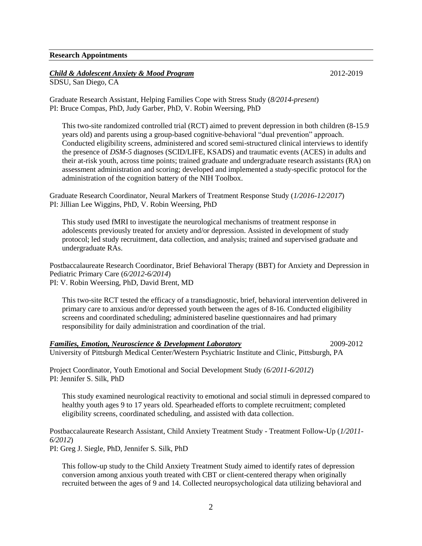#### **Research Appointments**

## *Child & Adolescent Anxiety & Mood Program* 2012-2019

SDSU, San Diego, CA

Graduate Research Assistant, Helping Families Cope with Stress Study (*8/2014-present*) PI: Bruce Compas, PhD, Judy Garber, PhD, V. Robin Weersing, PhD

This two-site randomized controlled trial (RCT) aimed to prevent depression in both children (8-15.9 years old) and parents using a group-based cognitive-behavioral "dual prevention" approach. Conducted eligibility screens, administered and scored semi-structured clinical interviews to identify the presence of *DSM-5* diagnoses (SCID/LIFE, KSADS) and traumatic events (ACES) in adults and their at-risk youth, across time points; trained graduate and undergraduate research assistants (RA) on assessment administration and scoring; developed and implemented a study-specific protocol for the administration of the cognition battery of the NIH Toolbox.

Graduate Research Coordinator, Neural Markers of Treatment Response Study (*1/2016-12/2017*) PI: Jillian Lee Wiggins, PhD, V. Robin Weersing, PhD

This study used fMRI to investigate the neurological mechanisms of treatment response in adolescents previously treated for anxiety and/or depression. Assisted in development of study protocol; led study recruitment, data collection, and analysis; trained and supervised graduate and undergraduate RAs.

Postbaccalaureate Research Coordinator, Brief Behavioral Therapy (BBT) for Anxiety and Depression in Pediatric Primary Care (*6/2012-6/2014*) PI: V. Robin Weersing, PhD, David Brent, MD

This two-site RCT tested the efficacy of a transdiagnostic, brief, behavioral intervention delivered in primary care to anxious and/or depressed youth between the ages of 8-16. Conducted eligibility screens and coordinated scheduling; administered baseline questionnaires and had primary responsibility for daily administration and coordination of the trial.

## *Families, Emotion, Neuroscience & Development Laboratory* 2009-2012

University of Pittsburgh Medical Center/Western Psychiatric Institute and Clinic, Pittsburgh, PA

Project Coordinator, Youth Emotional and Social Development Study (*6/2011-6/2012*) PI: Jennifer S. Silk, PhD

This study examined neurological reactivity to emotional and social stimuli in depressed compared to healthy youth ages 9 to 17 years old. Spearheaded efforts to complete recruitment; completed eligibility screens, coordinated scheduling, and assisted with data collection.

Postbaccalaureate Research Assistant, Child Anxiety Treatment Study - Treatment Follow-Up (*1/2011- 6/2012*)

PI: Greg J. Siegle, PhD, Jennifer S. Silk, PhD

This follow-up study to the Child Anxiety Treatment Study aimed to identify rates of depression conversion among anxious youth treated with CBT or client-centered therapy when originally recruited between the ages of 9 and 14. Collected neuropsychological data utilizing behavioral and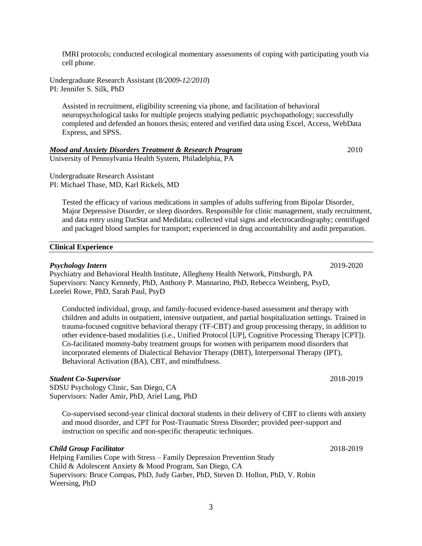fMRI protocols; conducted ecological momentary assessments of coping with participating youth via cell phone.

Undergraduate Research Assistant (8*/2009-12/2010*) PI: Jennifer S. Silk, PhD

Assisted in recruitment, eligibility screening via phone, and facilitation of behavioral neuropsychological tasks for multiple projects studying pediatric psychopathology; successfully completed and defended an honors thesis; entered and verified data using Excel, Access, WebData Express, and SPSS.

# *Mood and Anxiety Disorders Treatment & Research Program* 2010

University of Pennsylvania Health System, Philadelphia, PA

Undergraduate Research Assistant PI: Michael Thase, MD, Karl Rickels, MD

Tested the efficacy of various medications in samples of adults suffering from Bipolar Disorder, Major Depressive Disorder, or sleep disorders. Responsible for clinic management, study recruitment, and data entry using DatStat and Medidata; collected vital signs and electrocardiography; centrifuged and packaged blood samples for transport; experienced in drug accountability and audit preparation.

## **Clinical Experience**

#### *Psychology Intern* 2019-2020

Psychiatry and Behavioral Health Institute, Allegheny Health Network, Pittsburgh, PA Supervisors: Nancy Kennedy, PhD, Anthony P. Mannarino, PhD, Rebecca Weinberg, PsyD, Lorelei Rowe, PhD, Sarah Paul, PsyD

Conducted individual, group, and family-focused evidence-based assessment and therapy with children and adults in outpatient, intensive outpatient, and partial hospitalization settings. Trained in trauma-focused cognitive behavioral therapy (TF-CBT) and group processing therapy, in addition to other evidence-based modalities (i.e., Unified Protocol [UP], Cognitive Processing Therapy [CPT]). Co-facilitated mommy-baby treatment groups for women with peripartem mood disorders that incorporated elements of Dialectical Behavior Therapy (DBT), Interpersonal Therapy (IPT), Behavioral Activation (BA), CBT, and mindfulness.

## *Student Co-Supervisor* 2018-2019

SDSU Psychology Clinic, San Diego, CA Supervisors: Nader Amir, PhD, Ariel Lang, PhD

Co-supervised second-year clinical doctoral students in their delivery of CBT to clients with anxiety and mood disorder, and CPT for Post-Traumatic Stress Disorder; provided peer-support and instruction on specific and non-specific therapeutic techniques.

# *Child Group Facilitator* 2018-2019

Helping Families Cope with Stress – Family Depression Prevention Study Child & Adolescent Anxiety & Mood Program, San Diego, CA Supervisors: Bruce Compas, PhD, Judy Garber, PhD, Steven D. Hollon, PhD, V. Robin Weersing, PhD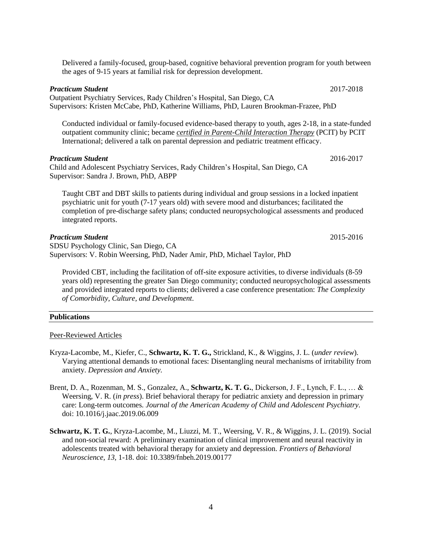Delivered a family-focused, group-based, cognitive behavioral prevention program for youth between the ages of 9-15 years at familial risk for depression development.

#### *Practicum Student* **2017-2018**

Outpatient Psychiatry Services, Rady Children's Hospital, San Diego, CA Supervisors: Kristen McCabe, PhD, Katherine Williams, PhD, Lauren Brookman-Frazee, PhD

Conducted individual or family-focused evidence-based therapy to youth, ages 2-18, in a state-funded outpatient community clinic; became *certified in Parent-Child Interaction Therapy* (PCIT) by PCIT International; delivered a talk on parental depression and pediatric treatment efficacy.

## *Practicum Student* **2016-2017**

Child and Adolescent Psychiatry Services, Rady Children's Hospital, San Diego, CA Supervisor: Sandra J. Brown, PhD, ABPP

Taught CBT and DBT skills to patients during individual and group sessions in a locked inpatient psychiatric unit for youth (7-17 years old) with severe mood and disturbances; facilitated the completion of pre-discharge safety plans; conducted neuropsychological assessments and produced integrated reports.

#### *Practicum Student* 2015-2016

SDSU Psychology Clinic, San Diego, CA Supervisors: V. Robin Weersing, PhD, Nader Amir, PhD, Michael Taylor, PhD

Provided CBT, including the facilitation of off-site exposure activities, to diverse individuals (8-59 years old) representing the greater San Diego community; conducted neuropsychological assessments and provided integrated reports to clients; delivered a case conference presentation: *The Complexity of Comorbidity, Culture, and Development.*

#### **Publications**

#### Peer-Reviewed Articles

- Kryza-Lacombe, M., Kiefer, C., **Schwartz, K. T. G.,** Strickland, K., & Wiggins, J. L. (*under review*). Varying attentional demands to emotional faces: Disentangling neural mechanisms of irritability from anxiety. *Depression and Anxiety.*
- Brent, D. A., Rozenman, M. S., Gonzalez, A., **Schwartz, K. T. G.**, Dickerson, J. F., Lynch, F. L., … & Weersing, V. R. (*in press*). Brief behavioral therapy for pediatric anxiety and depression in primary care: Long-term outcomes*. Journal of the American Academy of Child and Adolescent Psychiatry.*  doi: 10.1016/j.jaac.2019.06.009
- **Schwartz, K. T. G.**, Kryza-Lacombe, M., Liuzzi, M. T., Weersing, V. R., & Wiggins, J. L. (2019). Social and non-social reward: A preliminary examination of clinical improvement and neural reactivity in adolescents treated with behavioral therapy for anxiety and depression. *Frontiers of Behavioral Neuroscience, 13,* 1-18. doi: 10.3389/fnbeh.2019.00177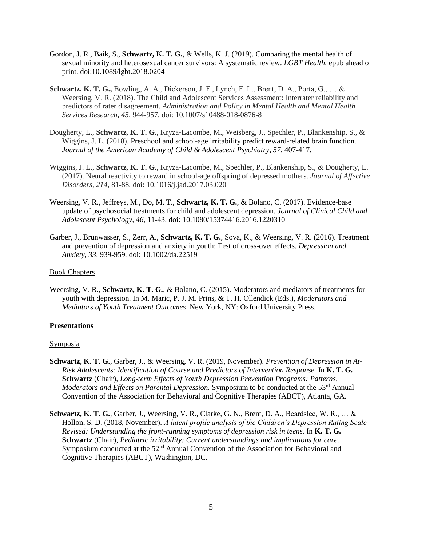- Gordon, J. R., Baik, S., **Schwartz, K. T. G.**, & Wells, K. J. (2019). Comparing the mental health of sexual minority and heterosexual cancer survivors: A systematic review. *LGBT Health.* epub ahead of print. doi:10.1089/lgbt.2018.0204
- **Schwartz, K. T. G.,** Bowling, A. A., Dickerson, J. F., Lynch, F. L., Brent, D. A., Porta, G., … & Weersing, V. R. (2018). The Child and Adolescent Services Assessment: Interrater reliability and predictors of rater disagreement. *Administration and Policy in Mental Health and Mental Health Services Research, 45,* 944-957. doi: 10.1007/s10488-018-0876-8
- Dougherty, L., **Schwartz, K. T. G.**, Kryza-Lacombe, M., Weisberg, J., Spechler, P., Blankenship, S., & Wiggins, J. L. (2018). Preschool and school-age irritability predict reward-related brain function. *Journal of the American Academy of Child & Adolescent Psychiatry, 57,* 407-417.
- Wiggins, J. L., **Schwartz, K. T. G.**, Kryza-Lacombe, M., Spechler, P., Blankenship, S., & Dougherty, L. (2017). Neural reactivity to reward in school-age offspring of depressed mothers. *Journal of Affective Disorders, 214,* 81-88*.* doi: 10.1016/j.jad.2017.03.020
- Weersing, V. R., Jeffreys, M., Do, M. T., **Schwartz, K. T. G.**, & Bolano, C. (2017). Evidence-base update of psychosocial treatments for child and adolescent depression. *Journal of Clinical Child and Adolescent Psychology, 46,* 11-43. doi: 10.1080/15374416.2016.1220310
- Garber, J., Brunwasser, S., Zerr, A., **Schwartz, K. T. G.**, Sova, K., & Weersing, V. R. (2016). Treatment and prevention of depression and anxiety in youth: Test of cross-over effects. *Depression and Anxiety, 33,* 939-959*.* doi: 10.1002/da.22519

## Book Chapters

Weersing, V. R., **Schwartz, K. T. G.**, & Bolano, C. (2015). Moderators and mediators of treatments for youth with depression. In M. Maric, P. J. M. Prins, & T. H. Ollendick (Eds.), *Moderators and Mediators of Youth Treatment Outcomes*. New York, NY: Oxford University Press.

## **Presentations**

## **Symposia**

- **Schwartz, K. T. G.**, Garber, J., & Weersing, V. R. (2019, November). *Prevention of Depression in At-Risk Adolescents: Identification of Course and Predictors of Intervention Response.* In **K. T. G. Schwartz** (Chair), *Long-term Effects of Youth Depression Prevention Programs: Patterns, Moderators and Effects on Parental Depression.* Symposium to be conducted at the 53<sup>rd</sup> Annual Convention of the Association for Behavioral and Cognitive Therapies (ABCT), Atlanta, GA.
- **Schwartz, K. T. G.**, Garber, J., Weersing, V. R., Clarke, G. N., Brent, D. A., Beardslee, W. R., … & Hollon, S. D. (2018, November). *A latent profile analysis of the Children's Depression Rating Scale-Revised: Understanding the front-running symptoms of depression risk in teens.* In **K. T. G. Schwartz** (Chair), *Pediatric irritability: Current understandings and implications for care.*  Symposium conducted at the  $52<sup>nd</sup>$  Annual Convention of the Association for Behavioral and Cognitive Therapies (ABCT), Washington, DC.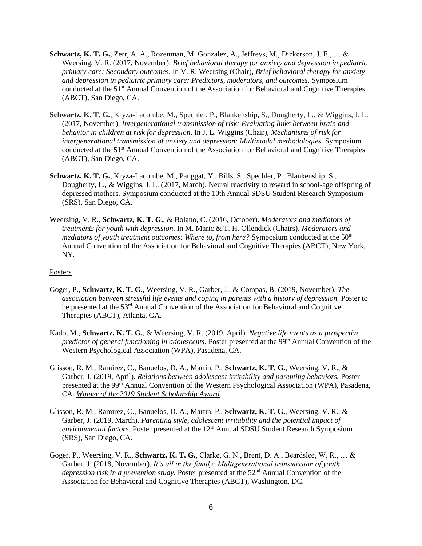- **Schwartz, K. T. G.**, Zerr, A. A., Rozenman, M. Gonzalez, A., Jeffreys, M., Dickerson, J. F., … & Weersing, V. R. (2017, November). *Brief behavioral therapy for anxiety and depression in pediatric primary care: Secondary outcomes*. In V. R. Weersing (Chair), *Brief behavioral therapy for anxiety and depression in pediatric primary care: Predictors, moderators, and outcomes.* Symposium conducted at the 51<sup>st</sup> Annual Convention of the Association for Behavioral and Cognitive Therapies (ABCT), San Diego, CA.
- **Schwartz, K. T. G.**, Kryza-Lacombe, M., Spechler, P., Blankenship, S., Dougherty, L., & Wiggins, J. L. (2017, November). *Intergenerational transmission of risk: Evaluating links between brain and behavior in children at risk for depression*. In J. L. Wiggins (Chair), *Mechanisms of risk for intergenerational transmission of anxiety and depression: Multimodal methodologies.* Symposium conducted at the 51<sup>st</sup> Annual Convention of the Association for Behavioral and Cognitive Therapies (ABCT), San Diego, CA.
- **Schwartz, K. T. G.**, Kryza-Lacombe, M., Panggat, Y., Bills, S., Spechler, P., Blankenship, S., Dougherty, L., & Wiggins, J. L. (2017, March). Neural reactivity to reward in school-age offspring of depressed mothers. Symposium conducted at the 10th Annual SDSU Student Research Symposium (SRS), San Diego, CA.
- Weersing, V. R., **Schwartz, K. T. G.**, & Bolano, C. (2016, October). *Moderators and mediators of treatments for youth with depression*. In M. Maric & T. H. Ollendick (Chairs), *Moderators and mediators of youth treatment outcomes: Where to, from here?* Symposium conducted at the 50<sup>th</sup> Annual Convention of the Association for Behavioral and Cognitive Therapies (ABCT), New York, NY.

# Posters

- Goger, P., **Schwartz, K. T. G.**, Weersing, V. R., Garber, J., & Compas, B. (2019, November). *The association between stressful life events and coping in parents with a history of depression.* Poster to be presented at the 53<sup>rd</sup> Annual Convention of the Association for Behavioral and Cognitive Therapies (ABCT), Atlanta, GA.
- Kado, M., **Schwartz, K. T. G.**, & Weersing, V. R. (2019, April). *Negative life events as a prospective predictor of general functioning in adolescents.* Poster presented at the 99<sup>th</sup> Annual Convention of the Western Psychological Association (WPA), Pasadena, CA.
- Glisson, R. M., Ramirez, C., Banuelos, D. A., Martin, P., **Schwartz, K. T. G.**, Weersing, V. R., & Garber, J. (2019, April). *Relations between adolescent irritability and parenting behaviors.* Poster presented at the 99<sup>th</sup> Annual Convention of the Western Psychological Association (WPA), Pasadena, CA. *Winner of the 2019 Student Scholarship Award*.
- Glisson, R. M., Ramirez, C., Banuelos, D. A., Martin, P., **Schwartz, K. T. G.**, Weersing, V. R., & Garber, J. (2019, March). *Parenting style, adolescent irritability and the potential impact of*  environmental factors. Poster presented at the 12<sup>th</sup> Annual SDSU Student Research Symposium (SRS), San Diego, CA.
- Goger, P., Weersing, V. R., **Schwartz, K. T. G.**, Clarke, G. N., Brent, D. A., Beardslee, W. R., … & Garber, J. (2018, November). *It's all in the family: Multigenerational transmission of youth*  depression risk in a prevention study. Poster presented at the 52<sup>nd</sup> Annual Convention of the Association for Behavioral and Cognitive Therapies (ABCT), Washington, DC.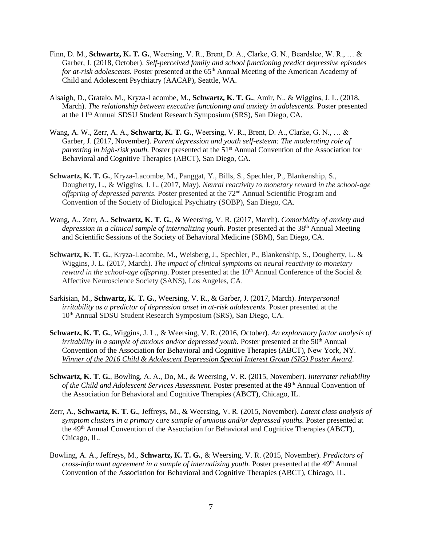- Finn, D. M., **Schwartz, K. T. G.**, Weersing, V. R., Brent, D. A., Clarke, G. N., Beardslee, W. R., … & Garber, J. (2018, October). *Self-perceived family and school functioning predict depressive episodes for at-risk adolescents.* Poster presented at the 65<sup>th</sup> Annual Meeting of the American Academy of Child and Adolescent Psychiatry (AACAP), Seattle, WA.
- Alsaigh, D., Gratalo, M., Kryza-Lacombe, M., **Schwartz, K. T. G.**, Amir, N., & Wiggins, J. L. (2018, March). *The relationship between executive functioning and anxiety in adolescents*. Poster presented at the 11th Annual SDSU Student Research Symposium (SRS), San Diego, CA.
- Wang, A. W., Zerr, A. A., **Schwartz, K. T. G.**, Weersing, V. R., Brent, D. A., Clarke, G. N., … & Garber, J. (2017, November). *Parent depression and youth self-esteem: The moderating role of parenting in high-risk youth.* Poster presented at the 51<sup>st</sup> Annual Convention of the Association for Behavioral and Cognitive Therapies (ABCT), San Diego, CA.
- **Schwartz, K. T. G.**, Kryza-Lacombe, M., Panggat, Y., Bills, S., Spechler, P., Blankenship, S., Dougherty, L., & Wiggins, J. L. (2017, May). *Neural reactivity to monetary reward in the school-age offspring of depressed parents.* Poster presented at the 72nd Annual Scientific Program and Convention of the Society of Biological Psychiatry (SOBP), San Diego, CA.
- Wang, A., Zerr, A., **Schwartz, K. T. G.**, & Weersing, V. R. (2017, March). *Comorbidity of anxiety and depression in a clinical sample of internalizing youth*. Poster presented at the 38th Annual Meeting and Scientific Sessions of the Society of Behavioral Medicine (SBM), San Diego, CA.
- **Schwartz, K. T. G.**, Kryza-Lacombe, M., Weisberg, J., Spechler, P., Blankenship, S., Dougherty, L. & Wiggins, J. L. (2017, March). *The impact of clinical symptoms on neural reactivity to monetary reward in the school-age offspring*. Poster presented at the  $10<sup>th</sup>$  Annual Conference of the Social  $\&$ Affective Neuroscience Society (SANS), Los Angeles, CA.
- Sarkisian, M., **Schwartz, K. T. G.**, Weersing, V. R., & Garber, J. (2017, March). *Interpersonal irritability as a predictor of depression onset in at-risk adolescents.* Poster presented at the 10th Annual SDSU Student Research Symposium (SRS), San Diego, CA.
- **Schwartz, K. T. G.**, Wiggins, J. L., & Weersing, V. R. (2016, October). *An exploratory factor analysis of irritability in a sample of anxious and/or depressed youth.* Poster presented at the 50<sup>th</sup> Annual Convention of the Association for Behavioral and Cognitive Therapies (ABCT), New York, NY. *Winner of the 2016 Child & Adolescent Depression Special Interest Group (SIG) Poster Award*.
- **Schwartz, K. T. G.**, Bowling, A. A., Do, M., & Weersing, V. R. (2015, November). *Interrater reliability of the Child and Adolescent Services Assessment*. Poster presented at the 49th Annual Convention of the Association for Behavioral and Cognitive Therapies (ABCT), Chicago, IL.
- Zerr, A., **Schwartz, K. T. G.**, Jeffreys, M., & Weersing, V. R. (2015, November). *Latent class analysis of symptom clusters in a primary care sample of anxious and/or depressed youths.* Poster presented at the 49<sup>th</sup> Annual Convention of the Association for Behavioral and Cognitive Therapies (ABCT), Chicago, IL.
- Bowling, A. A., Jeffreys, M., **Schwartz, K. T. G.**, & Weersing, V. R. (2015, November). *Predictors of cross-informant agreement in a sample of internalizing youth.* Poster presented at the 49<sup>th</sup> Annual Convention of the Association for Behavioral and Cognitive Therapies (ABCT), Chicago, IL.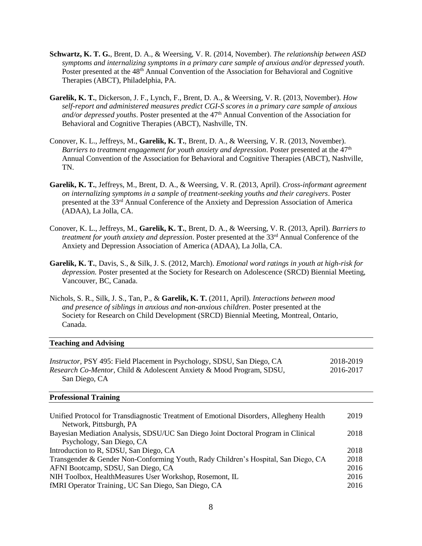- **Schwartz, K. T. G.**, Brent, D. A., & Weersing, V. R. (2014, November). *The relationship between ASD symptoms and internalizing symptoms in a primary care sample of anxious and/or depressed youth*. Poster presented at the 48<sup>th</sup> Annual Convention of the Association for Behavioral and Cognitive Therapies (ABCT), Philadelphia, PA.
- **Garelik, K. T.**, Dickerson, J. F., Lynch, F., Brent, D. A., & Weersing, V. R. (2013, November). *How self-report and administered measures predict CGI-S scores in a primary care sample of anxious and/or depressed youths*. Poster presented at the 47th Annual Convention of the Association for Behavioral and Cognitive Therapies (ABCT), Nashville, TN.
- Conover, K. L., Jeffreys, M., **Garelik, K. T.**, Brent, D. A., & Weersing, V. R. (2013, November). *Barriers to treatment engagement for youth anxiety and depression.* Poster presented at the 47<sup>th</sup> Annual Convention of the Association for Behavioral and Cognitive Therapies (ABCT), Nashville, TN.
- **Garelik, K. T.**, Jeffreys, M., Brent, D. A., & Weersing, V. R. (2013, April). *Cross-informant agreement on internalizing symptoms in a sample of treatment-seeking youths and their caregivers*. Poster presented at the 33rd Annual Conference of the Anxiety and Depression Association of America (ADAA), La Jolla, CA.
- Conover, K. L., Jeffreys, M., **Garelik, K. T.**, Brent, D. A., & Weersing, V. R. (2013, April). *Barriers to treatment for youth anxiety and depression*. Poster presented at the 33<sup>rd</sup> Annual Conference of the Anxiety and Depression Association of America (ADAA), La Jolla, CA.
- **Garelik, K. T.**, Davis, S., & Silk, J. S. (2012, March). *Emotional word ratings in youth at high-risk for depression.* Poster presented at the Society for Research on Adolescence (SRCD) Biennial Meeting, Vancouver, BC, Canada.
- Nichols, S. R., Silk, J. S., Tan, P., & **Garelik, K. T.** (2011, April). *Interactions between mood and presence of siblings in anxious and non-anxious children*. Poster presented at the Society for Research on Child Development (SRCD) Biennial Meeting, Montreal, Ontario, Canada.

# **Teaching and Advising**

| <i>Instructor</i> , PSY 495: Field Placement in Psychology, SDSU, San Diego, CA         | 2018-2019 |
|-----------------------------------------------------------------------------------------|-----------|
| Research Co-Mentor, Child & Adolescent Anxiety & Mood Program, SDSU,                    | 2016-2017 |
| San Diego, CA                                                                           |           |
| <b>Professional Training</b>                                                            |           |
|                                                                                         |           |
| Unified Protocol for Transdiagnostic Treatment of Emotional Disorders, Allegheny Health | 2019      |
| Network, Pittsburgh, PA                                                                 |           |
| Bayesian Mediation Analysis, SDSU/UC San Diego Joint Doctoral Program in Clinical       | 2018      |
| Psychology, San Diego, CA                                                               |           |
| Introduction to R, SDSU, San Diego, CA                                                  | 2018      |
| Transgender & Gender Non-Conforming Youth, Rady Children's Hospital, San Diego, CA      | 2018      |
| AFNI Bootcamp, SDSU, San Diego, CA                                                      | 2016      |
| NIH Toolbox, HealthMeasures User Workshop, Rosemont, IL                                 | 2016      |
| fMRI Operator Training, UC San Diego, San Diego, CA                                     | 2016      |